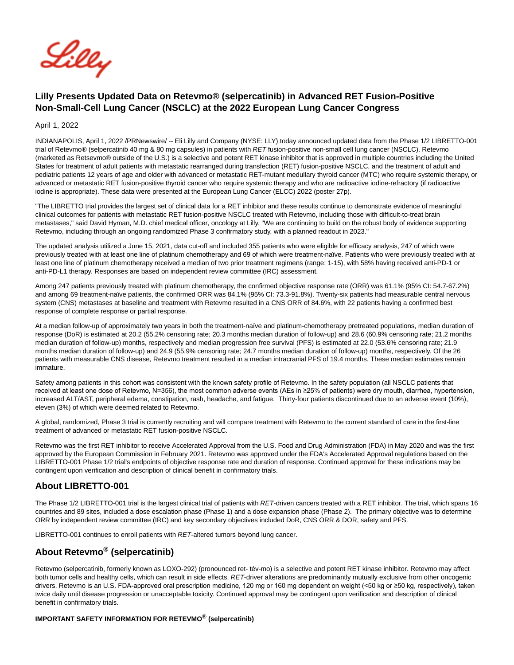

# **Lilly Presents Updated Data on Retevmo® (selpercatinib) in Advanced RET Fusion-Positive Non-Small-Cell Lung Cancer (NSCLC) at the 2022 European Lung Cancer Congress**

April 1, 2022

INDIANAPOLIS, April 1, 2022 /PRNewswire/ -- Eli Lilly and Company (NYSE: LLY) today announced updated data from the Phase 1/2 LIBRETTO-001 trial of Retevmo® (selpercatinib 40 mg & 80 mg capsules) in patients with RET fusion-positive non-small cell lung cancer (NSCLC). Retevmo (marketed as Retsevmo® outside of the U.S.) is a selective and potent RET kinase inhibitor that is approved in multiple countries including the United States for treatment of adult patients with metastatic rearranged during transfection (RET) fusion-positive NSCLC, and the treatment of adult and pediatric patients 12 years of age and older with advanced or metastatic RET-mutant medullary thyroid cancer (MTC) who require systemic therapy, or advanced or metastatic RET fusion-positive thyroid cancer who require systemic therapy and who are radioactive iodine-refractory (if radioactive iodine is appropriate). These data were presented at the European Lung Cancer (ELCC) 2022 (poster 27p).

"The LIBRETTO trial provides the largest set of clinical data for a RET inhibitor and these results continue to demonstrate evidence of meaningful clinical outcomes for patients with metastatic RET fusion-positive NSCLC treated with Retevmo, including those with difficult-to-treat brain metastases," said David Hyman, M.D. chief medical officer, oncology at Lilly. "We are continuing to build on the robust body of evidence supporting Retevmo, including through an ongoing randomized Phase 3 confirmatory study, with a planned readout in 2023."

The updated analysis utilized a June 15, 2021, data cut-off and included 355 patients who were eligible for efficacy analysis, 247 of which were previously treated with at least one line of platinum chemotherapy and 69 of which were treatment-naïve. Patients who were previously treated with at least one line of platinum chemotherapy received a median of two prior treatment regimens (range: 1-15), with 58% having received anti-PD-1 or anti-PD-L1 therapy. Responses are based on independent review committee (IRC) assessment.

Among 247 patients previously treated with platinum chemotherapy, the confirmed objective response rate (ORR) was 61.1% (95% CI: 54.7-67.2%) and among 69 treatment-naïve patients, the confirmed ORR was 84.1% (95% CI: 73.3-91.8%). Twenty-six patients had measurable central nervous system (CNS) metastases at baseline and treatment with Retevmo resulted in a CNS ORR of 84.6%, with 22 patients having a confirmed best response of complete response or partial response.

At a median follow-up of approximately two years in both the treatment-naïve and platinum-chemotherapy pretreated populations, median duration of response (DoR) is estimated at 20.2 (55.2% censoring rate; 20.3 months median duration of follow-up) and 28.6 (60.9% censoring rate; 21.2 months median duration of follow-up) months, respectively and median progression free survival (PFS) is estimated at 22.0 (53.6% censoring rate; 21.9 months median duration of follow-up) and 24.9 (55.9% censoring rate; 24.7 months median duration of follow-up) months, respectively. Of the 26 patients with measurable CNS disease, Retevmo treatment resulted in a median intracranial PFS of 19.4 months. These median estimates remain immature.

Safety among patients in this cohort was consistent with the known safety profile of Retevmo. In the safety population (all NSCLC patients that received at least one dose of Retevmo, N=356), the most common adverse events (AEs in ≥25% of patients) were dry mouth, diarrhea, hypertension, increased ALT/AST, peripheral edema, constipation, rash, headache, and fatigue. Thirty-four patients discontinued due to an adverse event (10%), eleven (3%) of which were deemed related to Retevmo.

A global, randomized, Phase 3 trial is currently recruiting and will compare treatment with Retevmo to the current standard of care in the first-line treatment of advanced or metastatic RET fusion-positive NSCLC.

Retevmo was the first RET inhibitor to receive Accelerated Approval from the U.S. Food and Drug Administration (FDA) in May 2020 and was the first approved by the European Commission in February 2021. Retevmo was approved under the FDA's Accelerated Approval regulations based on the LIBRETTO-001 Phase 1/2 trial's endpoints of objective response rate and duration of response. Continued approval for these indications may be contingent upon verification and description of clinical benefit in confirmatory trials.

## **About LIBRETTO-001**

The Phase 1/2 LIBRETTO-001 trial is the largest clinical trial of patients with RET-driven cancers treated with a RET inhibitor. The trial, which spans 16 countries and 89 sites, included a dose escalation phase (Phase 1) and a dose expansion phase (Phase 2). The primary objective was to determine ORR by independent review committee (IRC) and key secondary objectives included DoR, CNS ORR & DOR, safety and PFS.

LIBRETTO-001 continues to enroll patients with RET-altered tumors beyond lung cancer.

# **About Retevmo® (selpercatinib)**

Retevmo (selpercatinib, formerly known as LOXO-292) (pronounced ret- tév-mo) is a selective and potent RET kinase inhibitor. Retevmo may affect both tumor cells and healthy cells, which can result in side effects. RET-driver alterations are predominantly mutually exclusive from other oncogenic drivers. Retevmo is an U.S. FDA-approved oral prescription medicine, 120 mg or 160 mg dependent on weight (<50 kg or ≥50 kg, respectively), taken twice daily until disease progression or unacceptable toxicity. Continued approval may be contingent upon verification and description of clinical benefit in confirmatory trials.

#### **IMPORTANT SAFETY INFORMATION FOR RETEVMO**® **(selpercatinib)**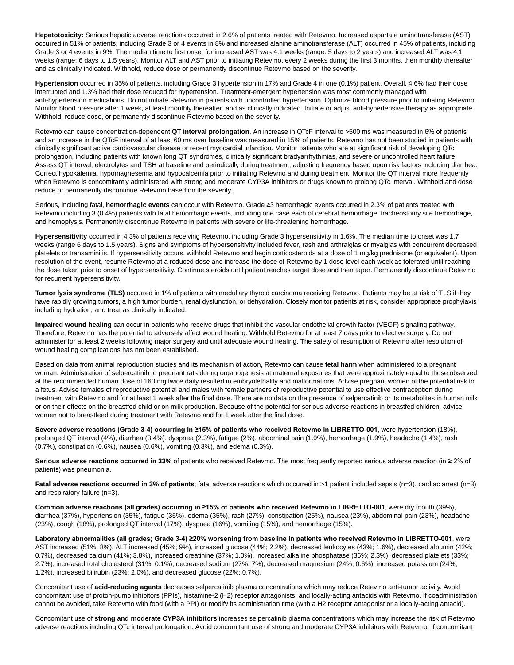**Hepatotoxicity:** Serious hepatic adverse reactions occurred in 2.6% of patients treated with Retevmo. Increased aspartate aminotransferase (AST) occurred in 51% of patients, including Grade 3 or 4 events in 8% and increased alanine aminotransferase (ALT) occurred in 45% of patients, including Grade 3 or 4 events in 9%. The median time to first onset for increased AST was 4.1 weeks (range: 5 days to 2 years) and increased ALT was 4.1 weeks (range: 6 days to 1.5 years). Monitor ALT and AST prior to initiating Retevmo, every 2 weeks during the first 3 months, then monthly thereafter and as clinically indicated. Withhold, reduce dose or permanently discontinue Retevmo based on the severity.

**Hypertension** occurred in 35% of patients, including Grade 3 hypertension in 17% and Grade 4 in one (0.1%) patient. Overall, 4.6% had their dose interrupted and 1.3% had their dose reduced for hypertension. Treatment-emergent hypertension was most commonly managed with anti-hypertension medications. Do not initiate Retevmo in patients with uncontrolled hypertension. Optimize blood pressure prior to initiating Retevmo. Monitor blood pressure after 1 week, at least monthly thereafter, and as clinically indicated. Initiate or adjust anti-hypertensive therapy as appropriate. Withhold, reduce dose, or permanently discontinue Retevmo based on the severity.

Retevmo can cause concentration-dependent **QT interval prolongation**. An increase in QTcF interval to >500 ms was measured in 6% of patients and an increase in the QTcF interval of at least 60 ms over baseline was measured in 15% of patients. Retevmo has not been studied in patients with clinically significant active cardiovascular disease or recent myocardial infarction. Monitor patients who are at significant risk of developing QTc prolongation, including patients with known long QT syndromes, clinically significant bradyarrhythmias, and severe or uncontrolled heart failure. Assess QT interval, electrolytes and TSH at baseline and periodically during treatment, adjusting frequency based upon risk factors including diarrhea. Correct hypokalemia, hypomagnesemia and hypocalcemia prior to initiating Retevmo and during treatment. Monitor the QT interval more frequently when Retevmo is concomitantly administered with strong and moderate CYP3A inhibitors or drugs known to prolong QTc interval. Withhold and dose reduce or permanently discontinue Retevmo based on the severity.

Serious, including fatal, **hemorrhagic events** can occur with Retevmo. Grade ≥3 hemorrhagic events occurred in 2.3% of patients treated with Retevmo including 3 (0.4%) patients with fatal hemorrhagic events, including one case each of cerebral hemorrhage, tracheostomy site hemorrhage, and hemoptysis. Permanently discontinue Retevmo in patients with severe or life-threatening hemorrhage.

**Hypersensitivity** occurred in 4.3% of patients receiving Retevmo, including Grade 3 hypersensitivity in 1.6%. The median time to onset was 1.7 weeks (range 6 days to 1.5 years). Signs and symptoms of hypersensitivity included fever, rash and arthralgias or myalgias with concurrent decreased platelets or transaminitis. If hypersensitivity occurs, withhold Retevmo and begin corticosteroids at a dose of 1 mg/kg prednisone (or equivalent). Upon resolution of the event, resume Retevmo at a reduced dose and increase the dose of Retevmo by 1 dose level each week as tolerated until reaching the dose taken prior to onset of hypersensitivity. Continue steroids until patient reaches target dose and then taper. Permanently discontinue Retevmo for recurrent hypersensitivity.

**Tumor lysis syndrome (TLS)** occurred in 1% of patients with medullary thyroid carcinoma receiving Retevmo. Patients may be at risk of TLS if they have rapidly growing tumors, a high tumor burden, renal dysfunction, or dehydration. Closely monitor patients at risk, consider appropriate prophylaxis including hydration, and treat as clinically indicated.

**Impaired wound healing** can occur in patients who receive drugs that inhibit the vascular endothelial growth factor (VEGF) signaling pathway. Therefore, Retevmo has the potential to adversely affect wound healing. Withhold Retevmo for at least 7 days prior to elective surgery. Do not administer for at least 2 weeks following major surgery and until adequate wound healing. The safety of resumption of Retevmo after resolution of wound healing complications has not been established.

Based on data from animal reproduction studies and its mechanism of action, Retevmo can cause **fetal harm** when administered to a pregnant woman. Administration of selpercatinib to pregnant rats during organogenesis at maternal exposures that were approximately equal to those observed at the recommended human dose of 160 mg twice daily resulted in embryolethality and malformations. Advise pregnant women of the potential risk to a fetus. Advise females of reproductive potential and males with female partners of reproductive potential to use effective contraception during treatment with Retevmo and for at least 1 week after the final dose. There are no data on the presence of selpercatinib or its metabolites in human milk or on their effects on the breastfed child or on milk production. Because of the potential for serious adverse reactions in breastfed children, advise women not to breastfeed during treatment with Retevmo and for 1 week after the final dose.

**Severe adverse reactions (Grade 3-4) occurring in ≥15% of patients who received Retevmo in LIBRETTO-001**, were hypertension (18%), prolonged QT interval (4%), diarrhea (3.4%), dyspnea (2.3%), fatigue (2%), abdominal pain (1.9%), hemorrhage (1.9%), headache (1.4%), rash (0.7%), constipation (0.6%), nausea (0.6%), vomiting (0.3%), and edema (0.3%).

**Serious adverse reactions occurred in 33%** of patients who received Retevmo. The most frequently reported serious adverse reaction (in ≥ 2% of patients) was pneumonia.

**Fatal adverse reactions occurred in 3% of patients**; fatal adverse reactions which occurred in >1 patient included sepsis (n=3), cardiac arrest (n=3) and respiratory failure (n=3).

**Common adverse reactions (all grades) occurring in ≥15% of patients who received Retevmo in LIBRETTO-001**, were dry mouth (39%), diarrhea (37%), hypertension (35%), fatigue (35%), edema (35%), rash (27%), constipation (25%), nausea (23%), abdominal pain (23%), headache (23%), cough (18%), prolonged QT interval (17%), dyspnea (16%), vomiting (15%), and hemorrhage (15%).

**Laboratory abnormalities (all grades; Grade 3-4) ≥20% worsening from baseline in patients who received Retevmo in LIBRETTO-001**, were AST increased (51%; 8%), ALT increased (45%; 9%), increased glucose (44%; 2.2%), decreased leukocytes (43%; 1.6%), decreased albumin (42%; 0.7%), decreased calcium (41%; 3.8%), increased creatinine (37%; 1.0%), increased alkaline phosphatase (36%; 2.3%), decreased platelets (33%; 2.7%), increased total cholesterol (31%; 0.1%), decreased sodium (27%; 7%), decreased magnesium (24%; 0.6%), increased potassium (24%; 1.2%), increased bilirubin (23%; 2.0%), and decreased glucose (22%; 0.7%).

Concomitant use of **acid-reducing agents** decreases selpercatinib plasma concentrations which may reduce Retevmo anti-tumor activity. Avoid concomitant use of proton-pump inhibitors (PPIs), histamine-2 (H2) receptor antagonists, and locally-acting antacids with Retevmo. If coadministration cannot be avoided, take Retevmo with food (with a PPI) or modify its administration time (with a H2 receptor antagonist or a locally-acting antacid).

Concomitant use of **strong and moderate CYP3A inhibitors** increases selpercatinib plasma concentrations which may increase the risk of Retevmo adverse reactions including QTc interval prolongation. Avoid concomitant use of strong and moderate CYP3A inhibitors with Retevmo. If concomitant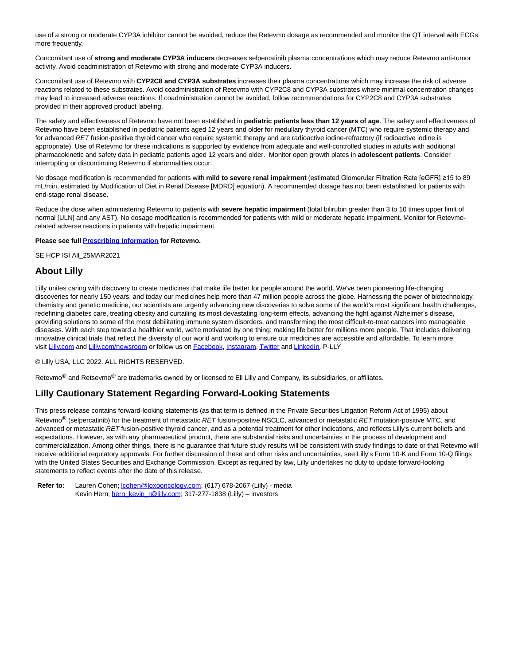use of a strong or moderate CYP3A inhibitor cannot be avoided, reduce the Retevmo dosage as recommended and monitor the QT interval with ECGs more frequently.

Concomitant use of **strong and moderate CYP3A inducers** decreases selpercatinib plasma concentrations which may reduce Retevmo anti-tumor activity. Avoid coadministration of Retevmo with strong and moderate CYP3A inducers.

Concomitant use of Retevmo with **CYP2C8 and CYP3A substrates** increases their plasma concentrations which may increase the risk of adverse reactions related to these substrates. Avoid coadministration of Retevmo with CYP2C8 and CYP3A substrates where minimal concentration changes may lead to increased adverse reactions. If coadministration cannot be avoided, follow recommendations for CYP2C8 and CYP3A substrates provided in their approved product labeling.

The safety and effectiveness of Retevmo have not been established in **pediatric patients less than 12 years of age**. The safety and effectiveness of Retevmo have been established in pediatric patients aged 12 years and older for medullary thyroid cancer (MTC) who require systemic therapy and for advanced RET fusion-positive thyroid cancer who require systemic therapy and are radioactive iodine-refractory (if radioactive iodine is appropriate). Use of Retevmo for these indications is supported by evidence from adequate and well-controlled studies in adults with additional pharmacokinetic and safety data in pediatric patients aged 12 years and older. Monitor open growth plates in **adolescent patients**. Consider interrupting or discontinuing Retevmo if abnormalities occur.

No dosage modification is recommended for patients with **mild to severe renal impairment** (estimated Glomerular Filtration Rate [eGFR] ≥15 to 89 mL/min, estimated by Modification of Diet in Renal Disease [MDRD] equation). A recommended dosage has not been established for patients with end-stage renal disease.

Reduce the dose when administering Retevmo to patients with **severe hepatic impairment** (total bilirubin greater than 3 to 10 times upper limit of normal [ULN] and any AST). No dosage modification is recommended for patients with mild or moderate hepatic impairment. Monitor for Retevmorelated adverse reactions in patients with hepatic impairment.

#### **Please see full [Prescribing Information f](https://c212.net/c/link/?t=0&l=en&o=3491503-1&h=1465707019&u=http%3A%2F%2Fpi.lilly.com%2Fus%2Fretevmo-uspi.pdf&a=Prescribing+Information)or Retevmo.**

SE HCP ISI All\_25MAR2021

### **About Lilly**

Lilly unites caring with discovery to create medicines that make life better for people around the world. We've been pioneering life-changing discoveries for nearly 150 years, and today our medicines help more than 47 million people across the globe. Harnessing the power of biotechnology, chemistry and genetic medicine, our scientists are urgently advancing new discoveries to solve some of the world's most significant health challenges, redefining diabetes care, treating obesity and curtailing its most devastating long-term effects, advancing the fight against Alzheimer's disease, providing solutions to some of the most debilitating immune system disorders, and transforming the most difficult-to-treat cancers into manageable diseases. With each step toward a healthier world, we're motivated by one thing: making life better for millions more people. That includes delivering innovative clinical trials that reflect the diversity of our world and working to ensure our medicines are accessible and affordable. To learn more, visit [Lilly.com a](https://c212.net/c/link/?t=0&l=en&o=3491503-1&h=3609119021&u=https%3A%2F%2Fwww.lilly.com%2Fnews%2Fpress-releases&a=Lilly.com)nd [Lilly.com/newsroom o](https://c212.net/c/link/?t=0&l=en&o=3491503-1&h=2825723035&u=https%3A%2F%2Fwww.lilly.com%2Fnews&a=Lilly.com%2Fnewsroom)r follow us o[n Facebook,](https://c212.net/c/link/?t=0&l=en&o=3491503-1&h=2695787982&u=https%3A%2F%2Fwww.facebook.com%2Felilillyandco%2F&a=Facebook) [Instagram,](https://c212.net/c/link/?t=0&l=en&o=3491503-1&h=3970658040&u=https%3A%2F%2Finstagram.com%2Felilillyco%3Figshid%3Dlxqsf8s20oa1&a=Instagram) [Twitter a](https://c212.net/c/link/?t=0&l=en&o=3491503-1&h=2317453181&u=https%3A%2F%2Ftwitter.com%2FLillyPad&a=Twitter)n[d LinkedIn.](https://c212.net/c/link/?t=0&l=en&o=3491503-1&h=354797311&u=https%3A%2F%2Fwww.linkedin.com%2Fcompany%2Feli-lilly-and-company&a=LinkedIn) P-LLY

© Lilly USA, LLC 2022. ALL RIGHTS RESERVED.

Retevmo<sup>®</sup> and Retsevmo<sup>®</sup> are trademarks owned by or licensed to Eli Lilly and Company, its subsidiaries, or affiliates.

## **Lilly Cautionary Statement Regarding Forward-Looking Statements**

This press release contains forward-looking statements (as that term is defined in the Private Securities Litigation Reform Act of 1995) about Retevmo<sup>®</sup> (selpercatinib) for the treatment of metastatic RET fusion-positive NSCLC, advanced or metastatic RET mutation-positive MTC, and advanced or metastatic RET fusion-positive thyroid cancer, and as a potential treatment for other indications, and reflects Lilly's current beliefs and expectations. However, as with any pharmaceutical product, there are substantial risks and uncertainties in the process of development and commercialization. Among other things, there is no guarantee that future study results will be consistent with study findings to date or that Retevmo will receive additional regulatory approvals. For further discussion of these and other risks and uncertainties, see Lilly's Form 10-K and Form 10-Q filings with the United States Securities and Exchange Commission. Except as required by law, Lilly undertakes no duty to update forward-looking statements to reflect events after the date of this release.

Refer to: Lauren Cohen; *cohen@loxooncology.com*; (617) 678-2067 (Lilly) - media Kevin Hern[; hern\\_kevin\\_r@lilly.com;](mailto:hern_kevin_r@lilly.com) 317-277-1838 (Lilly) – investors